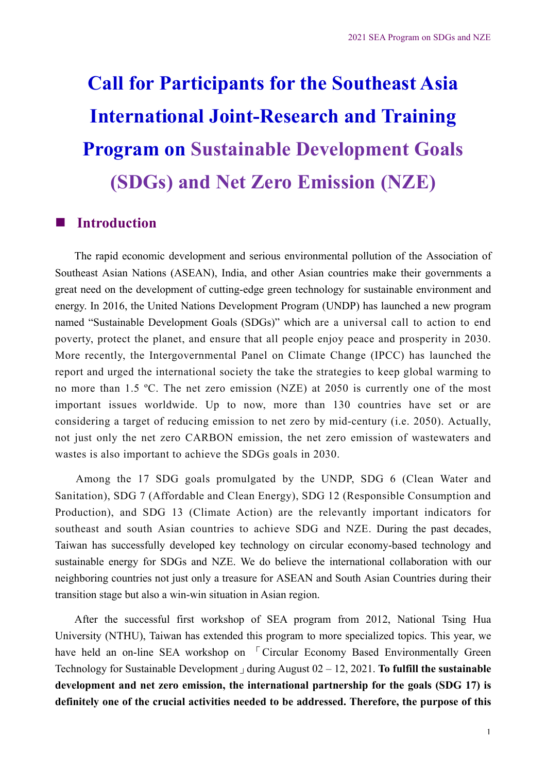# **Call for Participants for the Southeast Asia International Joint-Research and Training Program on Sustainable Development Goals (SDGs) and Net Zero Emission (NZE)**

## **n** Introduction

The rapid economic development and serious environmental pollution of the Association of Southeast Asian Nations (ASEAN), India, and other Asian countries make their governments a great need on the development of cutting-edge green technology for sustainable environment and energy. In 2016, the United Nations Development Program (UNDP) has launched a new program named "Sustainable Development Goals (SDGs)" which are a universal call to action to end poverty, protect the planet, and ensure that all people enjoy peace and prosperity in 2030. More recently, the Intergovernmental Panel on Climate Change (IPCC) has launched the report and urged the international society the take the strategies to keep global warming to no more than 1.5 ºC. The net zero emission (NZE) at 2050 is currently one of the most important issues worldwide. Up to now, more than 130 countries have set or are considering a target of reducing emission to net zero by mid-century (i.e. 2050). Actually, not just only the net zero CARBON emission, the net zero emission of wastewaters and wastes is also important to achieve the SDGs goals in 2030.

Among the 17 SDG goals promulgated by the UNDP, SDG 6 (Clean Water and Sanitation), SDG 7 (Affordable and Clean Energy), SDG 12 (Responsible Consumption and Production), and SDG 13 (Climate Action) are the relevantly important indicators for southeast and south Asian countries to achieve SDG and NZE. During the past decades, Taiwan has successfully developed key technology on circular economy-based technology and sustainable energy for SDGs and NZE. We do believe the international collaboration with our neighboring countries not just only a treasure for ASEAN and South Asian Countries during their transition stage but also a win-win situation in Asian region.

After the successful first workshop of SEA program from 2012, National Tsing Hua University (NTHU), Taiwan has extended this program to more specialized topics. This year, we have held an on-line SEA workshop on <sup>[Circular Economy Based Environmentally Green]</sup> Technology for Sustainable Development」during August 02 – 12, 2021. **To fulfill the sustainable development and net zero emission, the international partnership for the goals (SDG 17) is definitely one of the crucial activities needed to be addressed. Therefore, the purpose of this**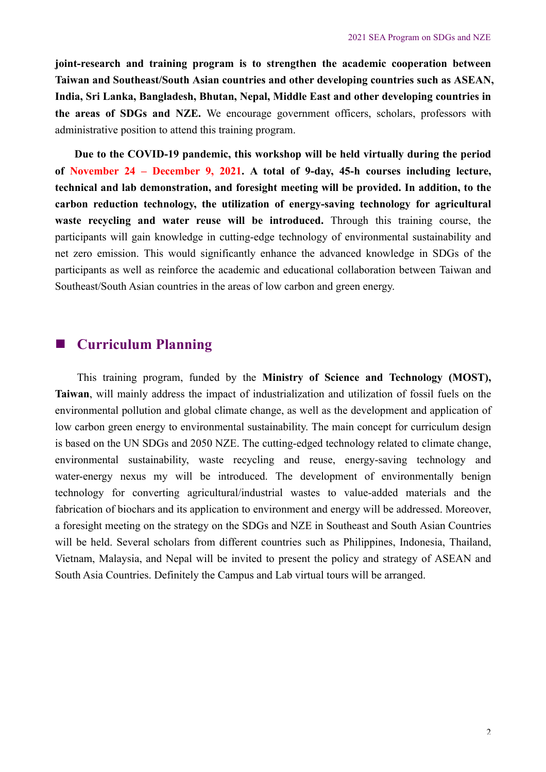**joint-research and training program is to strengthen the academic cooperation between Taiwan and Southeast/South Asian countries and other developing countries such as ASEAN, India, Sri Lanka, Bangladesh, Bhutan, Nepal, Middle East and other developing countries in the areas of SDGs and NZE.** We encourage government officers, scholars, professors with administrative position to attend this training program.

**Due to the COVID-19 pandemic, this workshop will be held virtually during the period of November 24 – December 9, 2021. A total of 9-day, 45-h courses including lecture, technical and lab demonstration, and foresight meeting will be provided. In addition, to the carbon reduction technology, the utilization of energy-saving technology for agricultural waste recycling and water reuse will be introduced.** Through this training course, the participants will gain knowledge in cutting-edge technology of environmental sustainability and net zero emission. This would significantly enhance the advanced knowledge in SDGs of the participants as well as reinforce the academic and educational collaboration between Taiwan and Southeast/South Asian countries in the areas of low carbon and green energy.

# **Curriculum Planning**

This training program, funded by the **Ministry of Science and Technology (MOST), Taiwan**, will mainly address the impact of industrialization and utilization of fossil fuels on the environmental pollution and global climate change, as well as the development and application of low carbon green energy to environmental sustainability. The main concept for curriculum design is based on the UN SDGs and 2050 NZE. The cutting-edged technology related to climate change, environmental sustainability, waste recycling and reuse, energy-saving technology and water-energy nexus my will be introduced. The development of environmentally benign technology for converting agricultural/industrial wastes to value-added materials and the fabrication of biochars and its application to environment and energy will be addressed. Moreover, a foresight meeting on the strategy on the SDGs and NZE in Southeast and South Asian Countries will be held. Several scholars from different countries such as Philippines, Indonesia, Thailand, Vietnam, Malaysia, and Nepal will be invited to present the policy and strategy of ASEAN and South Asia Countries. Definitely the Campus and Lab virtual tours will be arranged.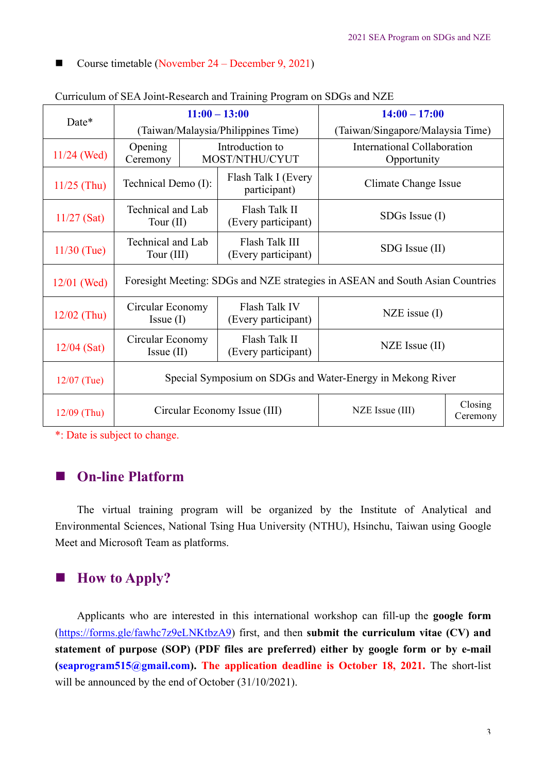#### ■ Course timetable (November  $24$  – December 9, 2021)

|               | $11:00 - 13:00$                                                               |  |                                       | $14:00 - 17:00$                            |                     |  |  |  |
|---------------|-------------------------------------------------------------------------------|--|---------------------------------------|--------------------------------------------|---------------------|--|--|--|
| Date*         | (Taiwan/Malaysia/Philippines Time)                                            |  |                                       | (Taiwan/Singapore/Malaysia Time)           |                     |  |  |  |
| $11/24$ (Wed) | <b>Opening</b><br>Ceremony                                                    |  | Introduction to<br>MOST/NTHU/CYUT     | International Collaboration<br>Opportunity |                     |  |  |  |
| $11/25$ (Thu) | Technical Demo (I):                                                           |  | Flash Talk I (Every<br>participant)   | Climate Change Issue                       |                     |  |  |  |
| $11/27$ (Sat) | Technical and Lab<br>Tour $(II)$                                              |  | Flash Talk II<br>(Every participant)  | $SDGs$ Issue $(I)$                         |                     |  |  |  |
| $11/30$ (Tue) | Technical and Lab<br>Tour (III)                                               |  | Flash Talk III<br>(Every participant) | SDG Issue (II)                             |                     |  |  |  |
| $12/01$ (Wed) | Foresight Meeting: SDGs and NZE strategies in ASEAN and South Asian Countries |  |                                       |                                            |                     |  |  |  |
| $12/02$ (Thu) | Circular Economy<br>Issue (I)                                                 |  | Flash Talk IV<br>(Every participant)  | $NZE$ issue $(I)$                          |                     |  |  |  |
| $12/04$ (Sat) | Circular Economy<br>$Issue$ (II)                                              |  | Flash Talk II<br>(Every participant)  | $NZE$ Issue (II)                           |                     |  |  |  |
| $12/07$ (Tue) | Special Symposium on SDGs and Water-Energy in Mekong River                    |  |                                       |                                            |                     |  |  |  |
| $12/09$ (Thu) |                                                                               |  | Circular Economy Issue (III)          | NZE Issue (III)                            | Closing<br>Ceremony |  |  |  |

|  |  | Curriculum of SEA Joint-Research and Training Program on SDGs and NZE |
|--|--|-----------------------------------------------------------------------|
|  |  |                                                                       |

\*: Date is subject to change.

## **On-line Platform**

The virtual training program will be organized by the Institute of Analytical and Environmental Sciences, National Tsing Hua University (NTHU), Hsinchu, Taiwan using Google Meet and Microsoft Team as platforms.

# ■ **How to Apply?**

Applicants who are interested in this international workshop can fill-up the **google form** (https://forms.gle/fawhc7z9eLNKtbzA9) first, and then **submit the curriculum vitae (CV) and statement of purpose (SOP) (PDF files are preferred) either by google form or by e-mail (seaprogram515@gmail.com). The application deadline is October 18, 2021.** The short-list will be announced by the end of October (31/10/2021).